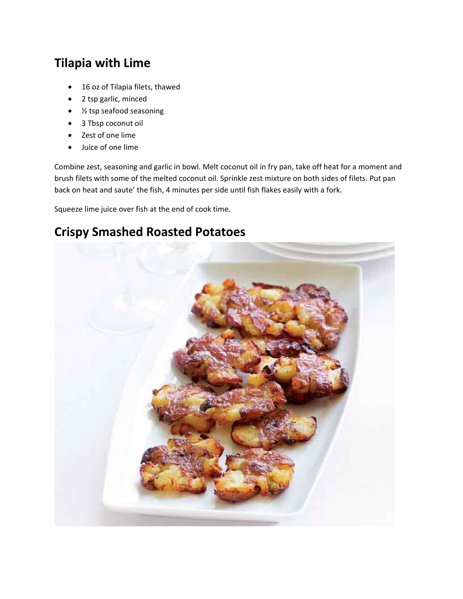## **Tilapia with Lime**

- 16 oz of Tilapia filets, thawed
- 2 tsp garlic, minced
- ½ tsp seafood seasoning
- 3 Tbsp coconut oil
- Zest of one lime
- Juice of one lime

Combine zest, seasoning and garlic in bowl. Melt coconut oil in fry pan, take off heat for a moment and brush filets with some of the melted coconut oil. Sprinkle zest mixture on both sides of filets. Put pan back on heat and saute' the fish, 4 minutes per side until fish flakes easily with a fork.

Squeeze lime juice over fish at the end of cook time.

## **Crispy Smashed Roasted Potatoes**